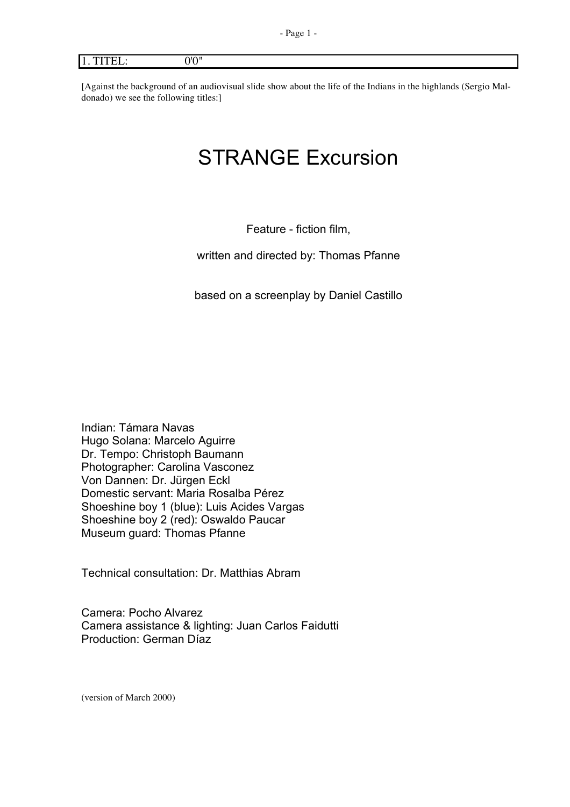# 1. TITEL: 0'0"

[Against the background of an audiovisual slide show about the life of the Indians in the highlands (Sergio Maldonado) we see the following titles:]

# STRANGE Excursion

Feature - fiction film,

written and directed by: Thomas Pfanne

based on a screenplay by Daniel Castillo

Indian: Támara Navas Hugo Solana: Marcelo Aguirre Dr. Tempo: Christoph Baumann Photographer: Carolina Vasconez Von Dannen: Dr. Jürgen Eckl Domestic servant: Maria Rosalba Pérez Shoeshine boy 1 (blue): Luis Acides Vargas Shoeshine boy 2 (red): Oswaldo Paucar Museum guard: Thomas Pfanne

Technical consultation: Dr. Matthias Abram

Camera: Pocho Alvarez Camera assistance & lighting: Juan Carlos Faidutti Production: German Díaz

(version of March 2000)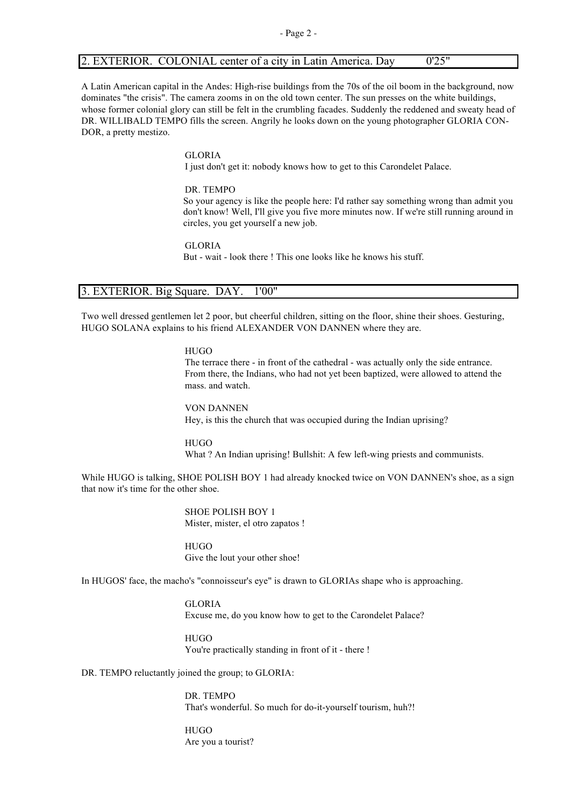# 2. EXTERIOR. COLONIAL center of a city in Latin America. Day 0'25"

A Latin American capital in the Andes: High-rise buildings from the 70s of the oil boom in the background, now dominates "the crisis". The camera zooms in on the old town center. The sun presses on the white buildings, whose former colonial glory can still be felt in the crumbling facades. Suddenly the reddened and sweaty head of DR. WILLIBALD TEMPO fills the screen. Angrily he looks down on the young photographer GLORIA CON-DOR, a pretty mestizo.

# GLORIA

I just don't get it: nobody knows how to get to this Carondelet Palace.

#### DR. TEMPO

So your agency is like the people here: I'd rather say something wrong than admit you don't know! Well, I'll give you five more minutes now. If we're still running around in circles, you get yourself a new job.

GLORIA But - wait - look there ! This one looks like he knows his stuff.

# 3. EXTERIOR. Big Square. DAY. 1'00"

Two well dressed gentlemen let 2 poor, but cheerful children, sitting on the floor, shine their shoes. Gesturing, HUGO SOLANA explains to his friend ALEXANDER VON DANNEN where they are.

HUGO

The terrace there - in front of the cathedral - was actually only the side entrance. From there, the Indians, who had not yet been baptized, were allowed to attend the mass. and watch.

VON DANNEN Hey, is this the church that was occupied during the Indian uprising?

**HUGO** What ? An Indian uprising! Bullshit: A few left-wing priests and communists.

While HUGO is talking, SHOE POLISH BOY 1 had already knocked twice on VON DANNEN's shoe, as a sign that now it's time for the other shoe.

> SHOE POLISH BOY 1 Mister, mister, el otro zapatos !

**HUGO** Give the lout your other shoe!

In HUGOS' face, the macho's "connoisseur's eye" is drawn to GLORIAs shape who is approaching.

GLORIA Excuse me, do you know how to get to the Carondelet Palace?

**HUGO** You're practically standing in front of it - there !

DR. TEMPO reluctantly joined the group; to GLORIA:

DR. TEMPO That's wonderful. So much for do-it-yourself tourism, huh?!

**HUGO** Are you a tourist?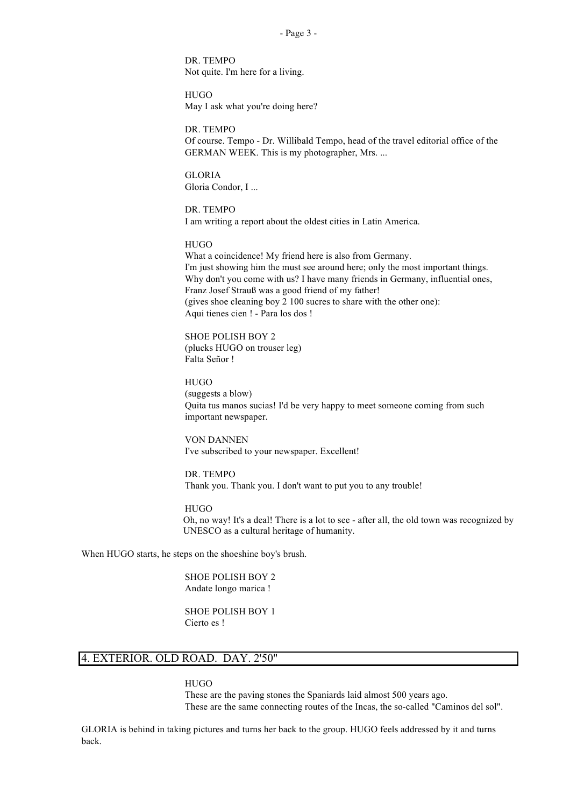- Page 3 -

DR. TEMPO Not quite. I'm here for a living.

**HUGO** May I ask what you're doing here?

DR. TEMPO Of course. Tempo - Dr. Willibald Tempo, head of the travel editorial office of the GERMAN WEEK. This is my photographer, Mrs. ...

GLORIA Gloria Condor, I ...

DR. TEMPO I am writing a report about the oldest cities in Latin America.

**HUGO** 

What a coincidence! My friend here is also from Germany. I'm just showing him the must see around here; only the most important things. Why don't you come with us? I have many friends in Germany, influential ones, Franz Josef Strauß was a good friend of my father! (gives shoe cleaning boy 2 100 sucres to share with the other one): Aqui tienes cien ! - Para los dos !

SHOE POLISH BOY 2 (plucks HUGO on trouser leg) Falta Señor !

HUGO (suggests a blow) Quita tus manos sucias! I'd be very happy to meet someone coming from such important newspaper.

VON DANNEN I've subscribed to your newspaper. Excellent!

DR. TEMPO Thank you. Thank you. I don't want to put you to any trouble!

**HUGO** Oh, no way! It's a deal! There is a lot to see - after all, the old town was recognized by UNESCO as a cultural heritage of humanity.

When HUGO starts, he steps on the shoeshine boy's brush.

SHOE POLISH BOY 2 Andate longo marica !

SHOE POLISH BOY 1 Cierto es !

# 4. EXTERIOR. OLD ROAD. DAY. 2'50"

**HUGO** 

These are the paving stones the Spaniards laid almost 500 years ago. These are the same connecting routes of the Incas, the so-called "Caminos del sol".

GLORIA is behind in taking pictures and turns her back to the group. HUGO feels addressed by it and turns back.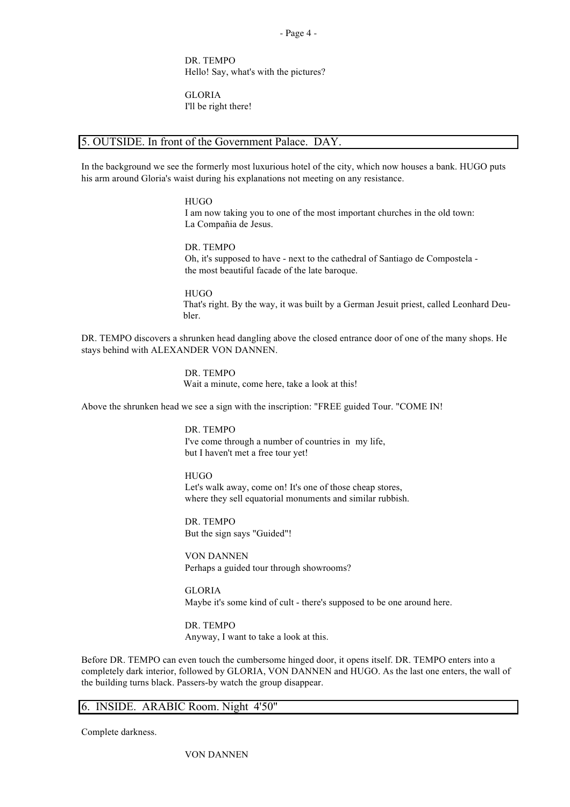- Page 4 -

DR. TEMPO Hello! Say, what's with the pictures?

GLORIA I'll be right there!

# 5. OUTSIDE. In front of the Government Palace. DAY.

In the background we see the formerly most luxurious hotel of the city, which now houses a bank. HUGO puts his arm around Gloria's waist during his explanations not meeting on any resistance.

HUGO

I am now taking you to one of the most important churches in the old town: La Compañia de Jesus.

DR. TEMPO Oh, it's supposed to have - next to the cathedral of Santiago de Compostela the most beautiful facade of the late baroque.

HUGO That's right. By the way, it was built by a German Jesuit priest, called Leonhard Deubler.

DR. TEMPO discovers a shrunken head dangling above the closed entrance door of one of the many shops. He stays behind with ALEXANDER VON DANNEN.

> DR. TEMPO Wait a minute, come here, take a look at this!

Above the shrunken head we see a sign with the inscription: "FREE guided Tour. "COME IN!

DR. TEMPO I've come through a number of countries in my life, but I haven't met a free tour yet!

**HUGO** Let's walk away, come on! It's one of those cheap stores, where they sell equatorial monuments and similar rubbish.

DR. TEMPO But the sign says "Guided"!

VON DANNEN Perhaps a guided tour through showrooms?

GLORIA Maybe it's some kind of cult - there's supposed to be one around here.

DR. TEMPO Anyway, I want to take a look at this.

Before DR. TEMPO can even touch the cumbersome hinged door, it opens itself. DR. TEMPO enters into a completely dark interior, followed by GLORIA, VON DANNEN and HUGO. As the last one enters, the wall of the building turns black. Passers-by watch the group disappear.

# 6. INSIDE. ARABIC Room. Night 4'50"

Complete darkness.

VON DANNEN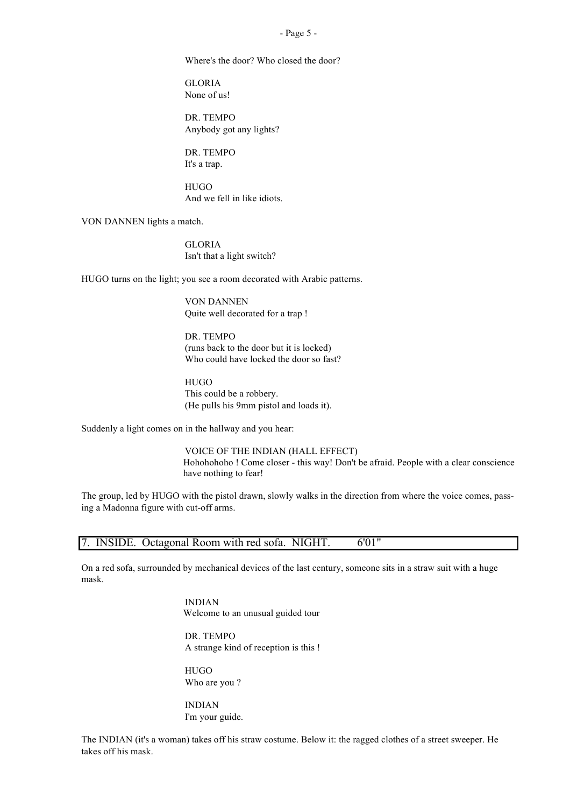#### - Page 5 -

Where's the door? Who closed the door?

GLORIA None of us!

DR. TEMPO Anybody got any lights?

DR. TEMPO It's a trap.

**HUGO** And we fell in like idiots.

VON DANNEN lights a match.

GLORIA Isn't that a light switch?

HUGO turns on the light; you see a room decorated with Arabic patterns.

VON DANNEN Quite well decorated for a trap !

DR. TEMPO (runs back to the door but it is locked) Who could have locked the door so fast?

**HUGO** This could be a robbery. (He pulls his 9mm pistol and loads it).

Suddenly a light comes on in the hallway and you hear:

VOICE OF THE INDIAN (HALL EFFECT) Hohohohoho ! Come closer - this way! Don't be afraid. People with a clear conscience have nothing to fear!

The group, led by HUGO with the pistol drawn, slowly walks in the direction from where the voice comes, passing a Madonna figure with cut-off arms.

|  | 7. INSIDE. Octagonal Room with red sofa. NIGHT. | 6'01" |
|--|-------------------------------------------------|-------|
|  |                                                 |       |

On a red sofa, surrounded by mechanical devices of the last century, someone sits in a straw suit with a huge mask.

> INDIAN Welcome to an unusual guided tour

> DR. TEMPO A strange kind of reception is this !

**HUGO** Who are you ?

INDIAN I'm your guide.

The INDIAN (it's a woman) takes off his straw costume. Below it: the ragged clothes of a street sweeper. He takes off his mask.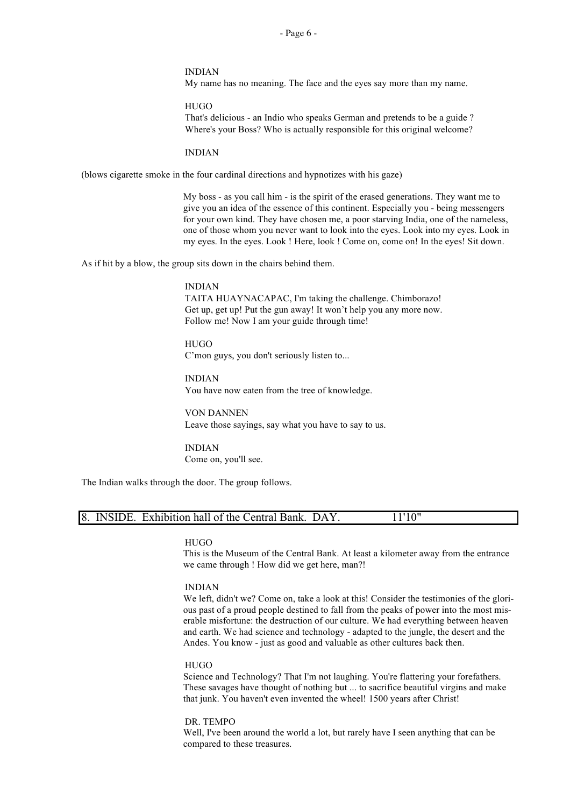- Page 6 -

#### INDIAN

My name has no meaning. The face and the eyes say more than my name.

**HUGO** That's delicious - an Indio who speaks German and pretends to be a guide ? Where's your Boss? Who is actually responsible for this original welcome?

INDIAN

(blows cigarette smoke in the four cardinal directions and hypnotizes with his gaze)

My boss - as you call him - is the spirit of the erased generations. They want me to give you an idea of the essence of this continent. Especially you - being messengers for your own kind. They have chosen me, a poor starving India, one of the nameless, one of those whom you never want to look into the eyes. Look into my eyes. Look in my eyes. In the eyes. Look ! Here, look ! Come on, come on! In the eyes! Sit down.

As if hit by a blow, the group sits down in the chairs behind them.

## INDIAN TAITA HUAYNACAPAC, I'm taking the challenge. Chimborazo! Get up, get up! Put the gun away! It won't help you any more now. Follow me! Now I am your guide through time!

**HUGO** C'mon guys, you don't seriously listen to...

INDIAN You have now eaten from the tree of knowledge.

VON DANNEN Leave those sayings, say what you have to say to us.

INDIAN Come on, you'll see.

The Indian walks through the door. The group follows.

| 8. INSIDE. Exhibition hall of the Central Bank. DAY.<br>11'10" |
|----------------------------------------------------------------|
|----------------------------------------------------------------|

# HUGO

This is the Museum of the Central Bank. At least a kilometer away from the entrance we came through ! How did we get here, man?!

## INDIAN

We left, didn't we? Come on, take a look at this! Consider the testimonies of the glorious past of a proud people destined to fall from the peaks of power into the most miserable misfortune: the destruction of our culture. We had everything between heaven and earth. We had science and technology - adapted to the jungle, the desert and the Andes. You know - just as good and valuable as other cultures back then.

#### **HUGO**

Science and Technology? That I'm not laughing. You're flattering your forefathers. These savages have thought of nothing but ... to sacrifice beautiful virgins and make that junk. You haven't even invented the wheel! 1500 years after Christ!

DR. TEMPO Well, I've been around the world a lot, but rarely have I seen anything that can be compared to these treasures.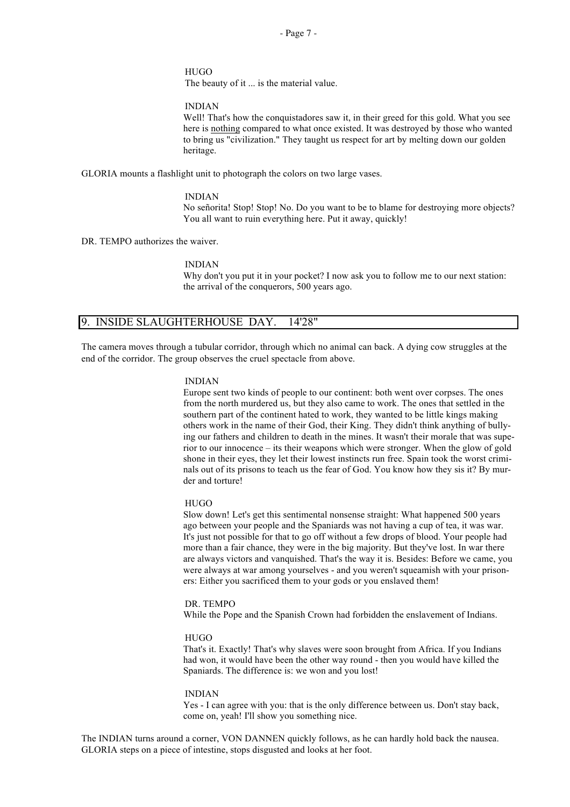**HUGO** The beauty of it ... is the material value.

INDIAN

Well! That's how the conquistadores saw it, in their greed for this gold. What you see here is nothing compared to what once existed. It was destroyed by those who wanted to bring us "civilization." They taught us respect for art by melting down our golden heritage.

GLORIA mounts a flashlight unit to photograph the colors on two large vases.

#### INDIAN

No señorita! Stop! Stop! No. Do you want to be to blame for destroying more objects? You all want to ruin everything here. Put it away, quickly!

DR. TEMPO authorizes the waiver.

#### INDIAN

Why don't you put it in your pocket? I now ask you to follow me to our next station: the arrival of the conquerors, 500 years ago.

# 9. INSIDE SLAUGHTERHOUSE DAY. 14'28"

The camera moves through a tubular corridor, through which no animal can back. A dying cow struggles at the end of the corridor. The group observes the cruel spectacle from above.

#### INDIAN

Europe sent two kinds of people to our continent: both went over corpses. The ones from the north murdered us, but they also came to work. The ones that settled in the southern part of the continent hated to work, they wanted to be little kings making others work in the name of their God, their King. They didn't think anything of bullying our fathers and children to death in the mines. It wasn't their morale that was superior to our innocence – its their weapons which were stronger. When the glow of gold shone in their eyes, they let their lowest instincts run free. Spain took the worst criminals out of its prisons to teach us the fear of God. You know how they sis it? By murder and torture!

## HUGO

Slow down! Let's get this sentimental nonsense straight: What happened 500 years ago between your people and the Spaniards was not having a cup of tea, it was war. It's just not possible for that to go off without a few drops of blood. Your people had more than a fair chance, they were in the big majority. But they've lost. In war there are always victors and vanquished. That's the way it is. Besides: Before we came, you were always at war among yourselves - and you weren't squeamish with your prisoners: Either you sacrificed them to your gods or you enslaved them!

#### DR. TEMPO

While the Pope and the Spanish Crown had forbidden the enslavement of Indians.

#### **HUGO**

That's it. Exactly! That's why slaves were soon brought from Africa. If you Indians had won, it would have been the other way round - then you would have killed the Spaniards. The difference is: we won and you lost!

#### INDIAN

Yes - I can agree with you: that is the only difference between us. Don't stay back, come on, yeah! I'll show you something nice.

The INDIAN turns around a corner, VON DANNEN quickly follows, as he can hardly hold back the nausea. GLORIA steps on a piece of intestine, stops disgusted and looks at her foot.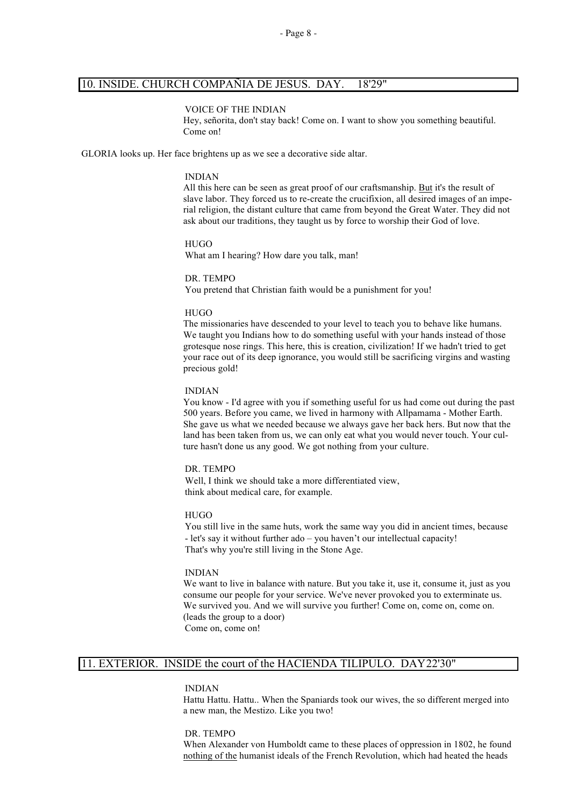# 10. INSIDE. CHURCH COMPAÑIA DE JESUS. DAY. 18'29"

#### VOICE OF THE INDIAN

Hey, señorita, don't stay back! Come on. I want to show you something beautiful. Come on!

GLORIA looks up. Her face brightens up as we see a decorative side altar.

#### INDIAN

All this here can be seen as great proof of our craftsmanship. But it's the result of slave labor. They forced us to re-create the crucifixion, all desired images of an imperial religion, the distant culture that came from beyond the Great Water. They did not ask about our traditions, they taught us by force to worship their God of love.

#### HUGO What am I hearing? How dare you talk, man!

DR. TEMPO You pretend that Christian faith would be a punishment for you!

#### **HUGO**

The missionaries have descended to your level to teach you to behave like humans. We taught you Indians how to do something useful with your hands instead of those grotesque nose rings. This here, this is creation, civilization! If we hadn't tried to get your race out of its deep ignorance, you would still be sacrificing virgins and wasting precious gold!

#### INDIAN

You know - I'd agree with you if something useful for us had come out during the past 500 years. Before you came, we lived in harmony with Allpamama - Mother Earth. She gave us what we needed because we always gave her back hers. But now that the land has been taken from us, we can only eat what you would never touch. Your culture hasn't done us any good. We got nothing from your culture.

#### DR. TEMPO

Well, I think we should take a more differentiated view, think about medical care, for example.

#### HUGO

You still live in the same huts, work the same way you did in ancient times, because - let's say it without further ado – you haven't our intellectual capacity! That's why you're still living in the Stone Age.

#### INDIAN

We want to live in balance with nature. But you take it, use it, consume it, just as you consume our people for your service. We've never provoked you to exterminate us. We survived you. And we will survive you further! Come on, come on, come on. (leads the group to a door) Come on, come on!

# 11. EXTERIOR. INSIDE the court of the HACIENDA TILIPULO. DAY22'30"

#### INDIAN

Hattu Hattu. Hattu.. When the Spaniards took our wives, the so different merged into a new man, the Mestizo. Like you two!

DR. TEMPO When Alexander von Humboldt came to these places of oppression in 1802, he found nothing of the humanist ideals of the French Revolution, which had heated the heads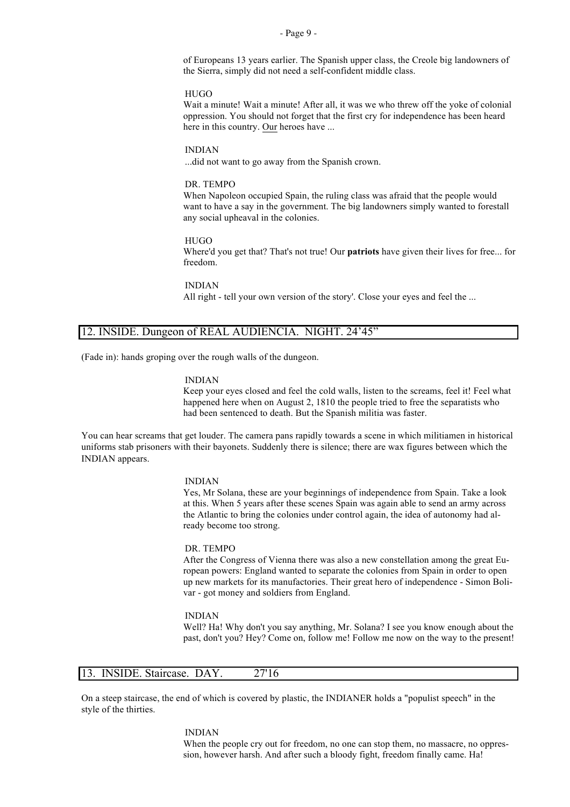#### - Page 9 -

of Europeans 13 years earlier. The Spanish upper class, the Creole big landowners of the Sierra, simply did not need a self-confident middle class.

#### **HUGO**

Wait a minute! Wait a minute! After all, it was we who threw off the yoke of colonial oppression. You should not forget that the first cry for independence has been heard here in this country. Our heroes have ...

#### INDIAN

...did not want to go away from the Spanish crown.

#### DR. TEMPO

When Napoleon occupied Spain, the ruling class was afraid that the people would want to have a say in the government. The big landowners simply wanted to forestall any social upheaval in the colonies.

#### **HUGO**

Where'd you get that? That's not true! Our **patriots** have given their lives for free... for freedom.

INDIAN

All right - tell your own version of the story'. Close your eyes and feel the ...

# 12. INSIDE. Dungeon of REAL AUDIENCIA. NIGHT. 24'45"

(Fade in): hands groping over the rough walls of the dungeon.

#### INDIAN

Keep your eyes closed and feel the cold walls, listen to the screams, feel it! Feel what happened here when on August 2, 1810 the people tried to free the separatists who had been sentenced to death. But the Spanish militia was faster.

You can hear screams that get louder. The camera pans rapidly towards a scene in which militiamen in historical uniforms stab prisoners with their bayonets. Suddenly there is silence; there are wax figures between which the INDIAN appears.

#### INDIAN

Yes, Mr Solana, these are your beginnings of independence from Spain. Take a look at this. When 5 years after these scenes Spain was again able to send an army across the Atlantic to bring the colonies under control again, the idea of autonomy had already become too strong.

#### DR. TEMPO

After the Congress of Vienna there was also a new constellation among the great European powers: England wanted to separate the colonies from Spain in order to open up new markets for its manufactories. Their great hero of independence - Simon Bolivar - got money and soldiers from England.

#### INDIAN

Well? Ha! Why don't you say anything, Mr. Solana? I see you know enough about the past, don't you? Hey? Come on, follow me! Follow me now on the way to the present!

# 13. INSIDE. Staircase. DAY. 27'16

On a steep staircase, the end of which is covered by plastic, the INDIANER holds a "populist speech" in the style of the thirties.

> INDIAN When the people cry out for freedom, no one can stop them, no massacre, no oppression, however harsh. And after such a bloody fight, freedom finally came. Ha!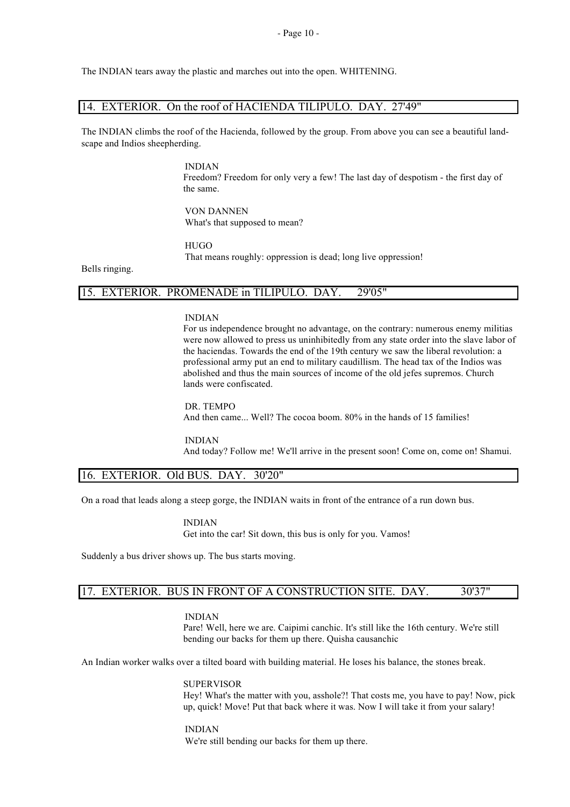The INDIAN tears away the plastic and marches out into the open. WHITENING.

#### 14. EXTERIOR. On the roof of HACIENDA TILIPULO. DAY. 27'49"

The INDIAN climbs the roof of the Hacienda, followed by the group. From above you can see a beautiful landscape and Indios sheepherding.

> INDIAN Freedom? Freedom for only very a few! The last day of despotism - the first day of the same.

VON DANNEN What's that supposed to mean?

**HUGO** 

That means roughly: oppression is dead; long live oppression!

Bells ringing.

# 15. EXTERIOR. PROMENADE in TILIPULO. DAY. 29'05"

INDIAN

For us independence brought no advantage, on the contrary: numerous enemy militias were now allowed to press us uninhibitedly from any state order into the slave labor of the haciendas. Towards the end of the 19th century we saw the liberal revolution: a professional army put an end to military caudillism. The head tax of the Indios was abolished and thus the main sources of income of the old jefes supremos. Church lands were confiscated.

DR. TEMPO And then came... Well? The cocoa boom. 80% in the hands of 15 families!

INDIAN And today? Follow me! We'll arrive in the present soon! Come on, come on! Shamui.

## 16. EXTERIOR. Old BUS. DAY. 30'20"

On a road that leads along a steep gorge, the INDIAN waits in front of the entrance of a run down bus.

INDIAN Get into the car! Sit down, this bus is only for you. Vamos!

Suddenly a bus driver shows up. The bus starts moving.

# 17. EXTERIOR. BUS IN FRONT OF A CONSTRUCTION SITE. DAY. 30'37"

INDIAN

Pare! Well, here we are. Caipimi canchic. It's still like the 16th century. We're still bending our backs for them up there. Quisha causanchic

An Indian worker walks over a tilted board with building material. He loses his balance, the stones break.

SUPERVISOR Hey! What's the matter with you, asshole?! That costs me, you have to pay! Now, pick up, quick! Move! Put that back where it was. Now I will take it from your salary!

INDIAN We're still bending our backs for them up there.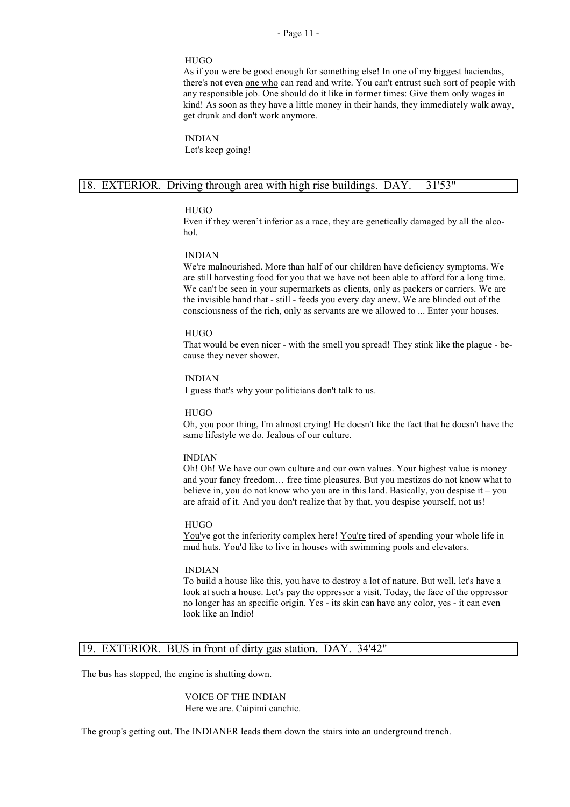#### **HUGO**

As if you were be good enough for something else! In one of my biggest haciendas, there's not even one who can read and write. You can't entrust such sort of people with any responsible job. One should do it like in former times: Give them only wages in kind! As soon as they have a little money in their hands, they immediately walk away, get drunk and don't work anymore.

INDIAN Let's keep going!

## 18. EXTERIOR. Driving through area with high rise buildings. DAY. 31'53"

#### **HUGO**

Even if they weren't inferior as a race, they are genetically damaged by all the alcohol.

#### INDIAN

We're malnourished. More than half of our children have deficiency symptoms. We are still harvesting food for you that we have not been able to afford for a long time. We can't be seen in your supermarkets as clients, only as packers or carriers. We are the invisible hand that - still - feeds you every day anew. We are blinded out of the consciousness of the rich, only as servants are we allowed to ... Enter your houses.

#### HUGO

That would be even nicer - with the smell you spread! They stink like the plague - because they never shower.

#### INDIAN

I guess that's why your politicians don't talk to us.

#### HUGO

Oh, you poor thing, I'm almost crying! He doesn't like the fact that he doesn't have the same lifestyle we do. Jealous of our culture.

### INDIAN

Oh! Oh! We have our own culture and our own values. Your highest value is money and your fancy freedom… free time pleasures. But you mestizos do not know what to believe in, you do not know who you are in this land. Basically, you despise it – you are afraid of it. And you don't realize that by that, you despise yourself, not us!

#### HUGO

You've got the inferiority complex here! You're tired of spending your whole life in mud huts. You'd like to live in houses with swimming pools and elevators.

#### INDIAN

To build a house like this, you have to destroy a lot of nature. But well, let's have a look at such a house. Let's pay the oppressor a visit. Today, the face of the oppressor no longer has an specific origin. Yes - its skin can have any color, yes - it can even look like an Indio!

#### 19. EXTERIOR. BUS in front of dirty gas station. DAY. 34'42"

The bus has stopped, the engine is shutting down.

VOICE OF THE INDIAN Here we are. Caipimi canchic.

The group's getting out. The INDIANER leads them down the stairs into an underground trench.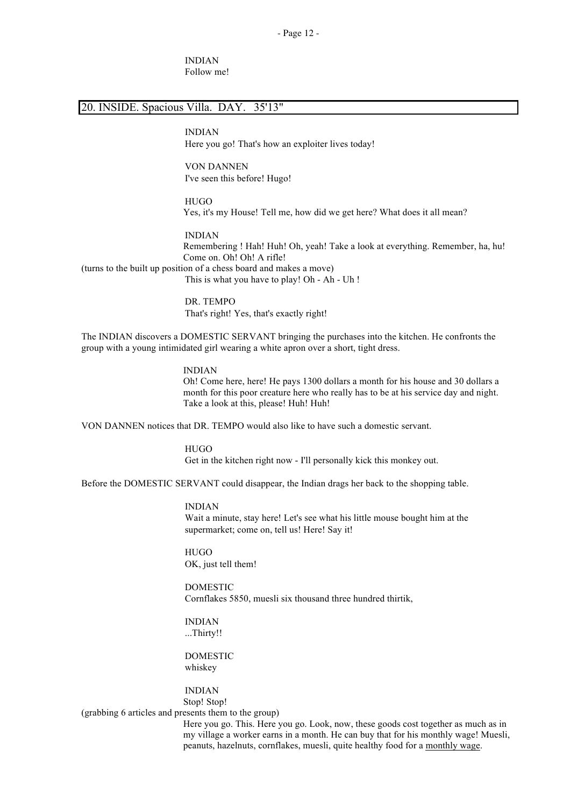INDIAN Follow me!

# 20. INSIDE. Spacious Villa. DAY. 35'13"

INDIAN Here you go! That's how an exploiter lives today!

VON DANNEN I've seen this before! Hugo!

HUGO Yes, it's my House! Tell me, how did we get here? What does it all mean?

INDIAN Remembering ! Hah! Huh! Oh, yeah! Take a look at everything. Remember, ha, hu! Come on. Oh! Oh! A rifle! (turns to the built up position of a chess board and makes a move) This is what you have to play! Oh - Ah - Uh !

> DR. TEMPO That's right! Yes, that's exactly right!

The INDIAN discovers a DOMESTIC SERVANT bringing the purchases into the kitchen. He confronts the group with a young intimidated girl wearing a white apron over a short, tight dress.

> INDIAN Oh! Come here, here! He pays 1300 dollars a month for his house and 30 dollars a month for this poor creature here who really has to be at his service day and night. Take a look at this, please! Huh! Huh!

VON DANNEN notices that DR. TEMPO would also like to have such a domestic servant.

**HUGO** Get in the kitchen right now - I'll personally kick this monkey out.

Before the DOMESTIC SERVANT could disappear, the Indian drags her back to the shopping table.

INDIAN Wait a minute, stay here! Let's see what his little mouse bought him at the supermarket; come on, tell us! Here! Say it!

HUGO OK, just tell them!

DOMESTIC Cornflakes 5850, muesli six thousand three hundred thirtik,

INDIAN ...Thirty!!

DOMESTIC whiskey

INDIAN Stop! Stop! (grabbing 6 articles and presents them to the group)

> Here you go. This. Here you go. Look, now, these goods cost together as much as in my village a worker earns in a month. He can buy that for his monthly wage! Muesli, peanuts, hazelnuts, cornflakes, muesli, quite healthy food for a monthly wage.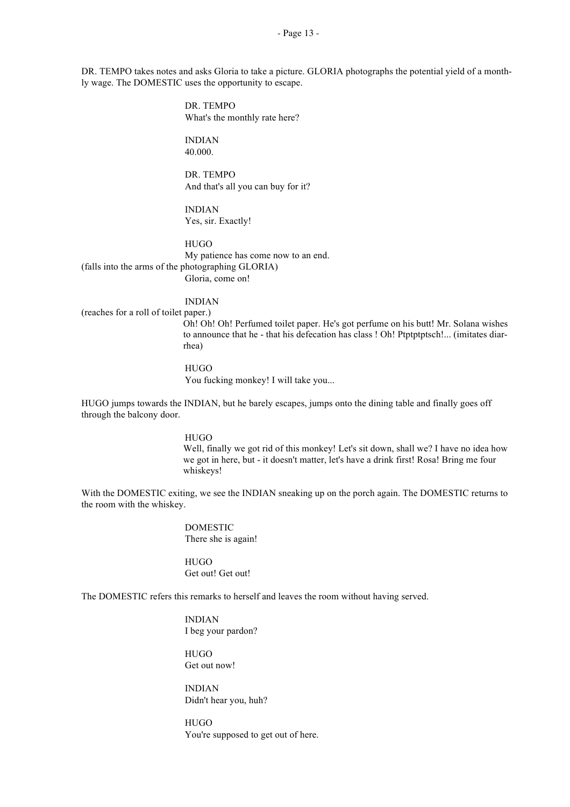DR. TEMPO takes notes and asks Gloria to take a picture. GLORIA photographs the potential yield of a monthly wage. The DOMESTIC uses the opportunity to escape.

> DR. TEMPO What's the monthly rate here?

INDIAN 40.000.

DR. TEMPO And that's all you can buy for it?

INDIAN Yes, sir. Exactly!

HUGO My patience has come now to an end. (falls into the arms of the photographing GLORIA) Gloria, come on!

INDIAN

(reaches for a roll of toilet paper.)

Oh! Oh! Oh! Perfumed toilet paper. He's got perfume on his butt! Mr. Solana wishes to announce that he - that his defecation has class ! Oh! Ptptptptsch!... (imitates diarrhea)

**HUGO** You fucking monkey! I will take you...

HUGO jumps towards the INDIAN, but he barely escapes, jumps onto the dining table and finally goes off through the balcony door.

> HUGO Well, finally we got rid of this monkey! Let's sit down, shall we? I have no idea how we got in here, but - it doesn't matter, let's have a drink first! Rosa! Bring me four whiskeys!

With the DOMESTIC exiting, we see the INDIAN sneaking up on the porch again. The DOMESTIC returns to the room with the whiskey.

> DOMESTIC There she is again!

**HUGO** Get out! Get out!

The DOMESTIC refers this remarks to herself and leaves the room without having served.

INDIAN I beg your pardon?

HUGO Get out now!

INDIAN Didn't hear you, huh?

**HUGO** You're supposed to get out of here.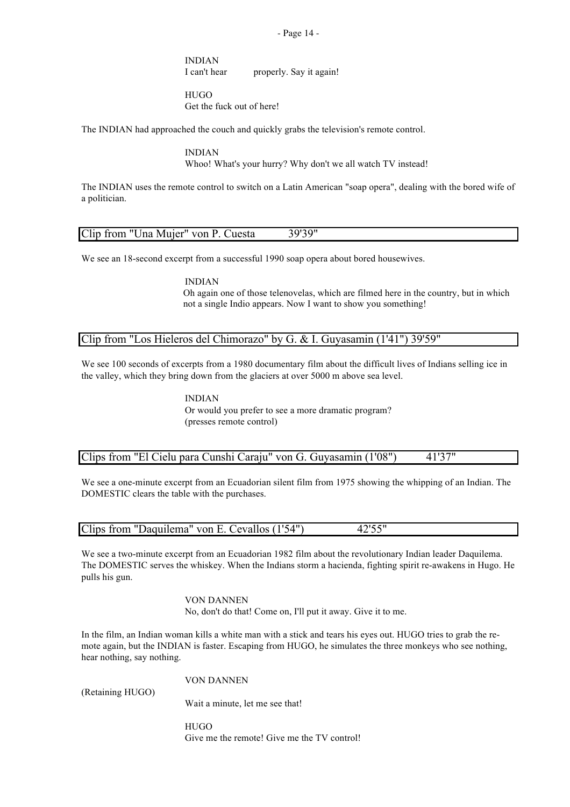- Page 14 -

INDIAN I can't hear properly. Say it again!

**HUGO** Get the fuck out of here!

The INDIAN had approached the couch and quickly grabs the television's remote control.

INDIAN Whoo! What's your hurry? Why don't we all watch TV instead!

The INDIAN uses the remote control to switch on a Latin American "soap opera", dealing with the bored wife of a politician.

| Clip from "Una Mujer" von P. Cuesta | 39'39" |
|-------------------------------------|--------|

We see an 18-second excerpt from a successful 1990 soap opera about bored housewives.

INDIAN Oh again one of those telenovelas, which are filmed here in the country, but in which not a single Indio appears. Now I want to show you something!

# Clip from "Los Hieleros del Chimorazo" by G. & I. Guyasamin (1'41") 39'59"

We see 100 seconds of excerpts from a 1980 documentary film about the difficult lives of Indians selling ice in the valley, which they bring down from the glaciers at over 5000 m above sea level.

> INDIAN Or would you prefer to see a more dramatic program? (presses remote control)

## Clips from "El Cielu para Cunshi Caraju" von G. Guyasamin (1'08") 41'37"

We see a one-minute excerpt from an Ecuadorian silent film from 1975 showing the whipping of an Indian. The DOMESTIC clears the table with the purchases.

| Clips from "Daquilema" von E. Cevallos (1'54") | 42'55" |
|------------------------------------------------|--------|

We see a two-minute excerpt from an Ecuadorian 1982 film about the revolutionary Indian leader Daquilema. The DOMESTIC serves the whiskey. When the Indians storm a hacienda, fighting spirit re-awakens in Hugo. He pulls his gun.

> VON DANNEN No, don't do that! Come on, I'll put it away. Give it to me.

In the film, an Indian woman kills a white man with a stick and tears his eyes out. HUGO tries to grab the remote again, but the INDIAN is faster. Escaping from HUGO, he simulates the three monkeys who see nothing, hear nothing, say nothing.

(Retaining HUGO)

VON DANNEN

Wait a minute, let me see that!

**HUGO** Give me the remote! Give me the TV control!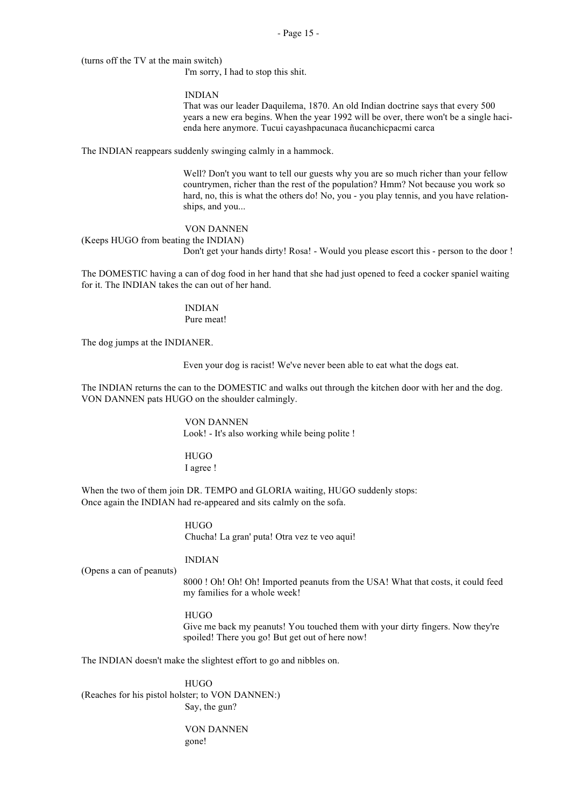(turns off the TV at the main switch)

I'm sorry, I had to stop this shit.

## INDIAN

That was our leader Daquilema, 1870. An old Indian doctrine says that every 500 years a new era begins. When the year 1992 will be over, there won't be a single hacienda here anymore. Tucui cayashpacunaca ñucanchicpacmi carca

The INDIAN reappears suddenly swinging calmly in a hammock.

Well? Don't you want to tell our guests why you are so much richer than your fellow countrymen, richer than the rest of the population? Hmm? Not because you work so hard, no, this is what the others do! No, you - you play tennis, and you have relationships, and you...

#### VON DANNEN

(Keeps HUGO from beating the INDIAN)

Don't get your hands dirty! Rosa! - Would you please escort this - person to the door !

The DOMESTIC having a can of dog food in her hand that she had just opened to feed a cocker spaniel waiting for it. The INDIAN takes the can out of her hand.

> INDIAN Pure meat!

The dog jumps at the INDIANER.

Even your dog is racist! We've never been able to eat what the dogs eat.

The INDIAN returns the can to the DOMESTIC and walks out through the kitchen door with her and the dog. VON DANNEN pats HUGO on the shoulder calmingly.

> VON DANNEN Look! - It's also working while being polite !

HUGO I agree !

When the two of them join DR. TEMPO and GLORIA waiting, HUGO suddenly stops: Once again the INDIAN had re-appeared and sits calmly on the sofa.

> **HUGO** Chucha! La gran' puta! Otra vez te veo aqui!

#### INDIAN

(Opens a can of peanuts)

8000 ! Oh! Oh! Oh! Imported peanuts from the USA! What that costs, it could feed my families for a whole week!

#### HUGO

Give me back my peanuts! You touched them with your dirty fingers. Now they're spoiled! There you go! But get out of here now!

The INDIAN doesn't make the slightest effort to go and nibbles on.

**HUGO** (Reaches for his pistol holster; to VON DANNEN:) Say, the gun?

> VON DANNEN gone!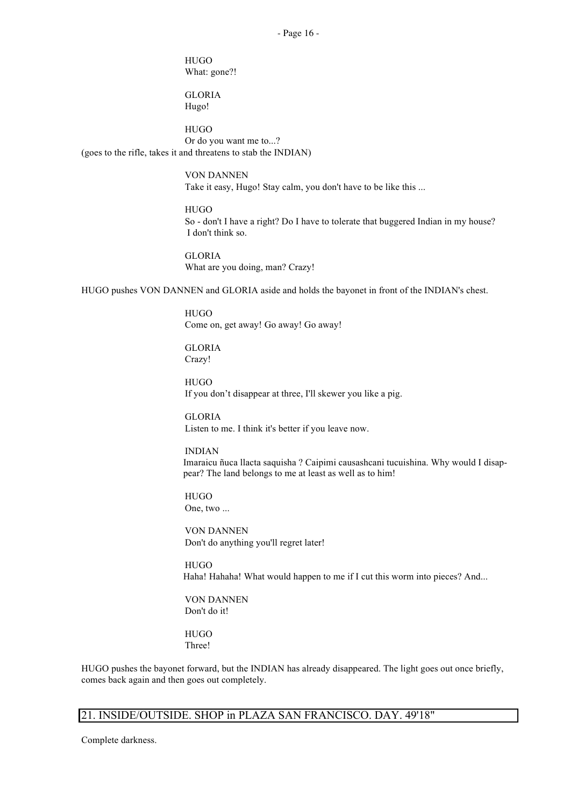**HUGO** What: gone?!

GLORIA Hugo!

HUGO Or do you want me to...? (goes to the rifle, takes it and threatens to stab the INDIAN)

> VON DANNEN Take it easy, Hugo! Stay calm, you don't have to be like this ...

HUGO So - don't I have a right? Do I have to tolerate that buggered Indian in my house? I don't think so.

GLORIA What are you doing, man? Crazy!

HUGO pushes VON DANNEN and GLORIA aside and holds the bayonet in front of the INDIAN's chest.

**HUGO** Come on, get away! Go away! Go away!

GLORIA Crazy!

HUGO If you don't disappear at three, I'll skewer you like a pig.

GLORIA Listen to me. I think it's better if you leave now.

INDIAN Imaraicu ñuca llacta saquisha ? Caipimi causashcani tucuishina. Why would I disappear? The land belongs to me at least as well as to him!

HUGO One, two ...

VON DANNEN Don't do anything you'll regret later!

**HUGO** Haha! Hahaha! What would happen to me if I cut this worm into pieces? And...

VON DANNEN Don't do it!

HUGO Three!

HUGO pushes the bayonet forward, but the INDIAN has already disappeared. The light goes out once briefly, comes back again and then goes out completely.

# 21. INSIDE/OUTSIDE. SHOP in PLAZA SAN FRANCISCO. DAY. 49'18"

Complete darkness.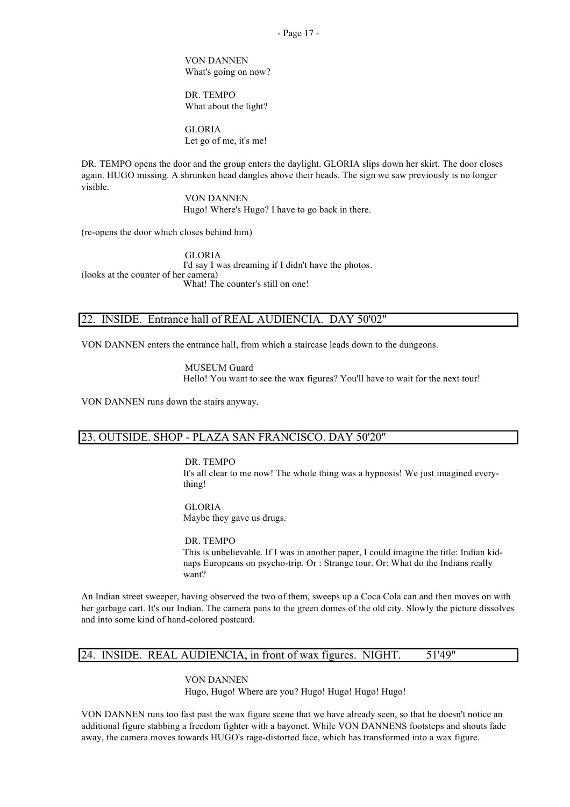VON DANNEN What's going on now?

DR. TEMPO What about the light?

GLORIA Let go of me, it's me!

DR. TEMPO opens the door and the group enters the daylight. GLORIA slips down her skirt. The door closes again. HUGO missing. A shrunken head dangles above their heads. The sign we saw previously is no longer visible.

> VON DANNEN Hugo! Where's Hugo? I have to go back in there.

(re-opens the door which closes behind him)

GLORIA I'd say I was dreaming if I didn't have the photos. (looks at the counter of her camera) What! The counter's still on one!

# 22. INSIDE. Entrance hall of REAL AUDIENCIA. DAY 50'02"

VON DANNEN enters the entrance hall, from which a staircase leads down to the dungeons.

MUSEUM Guard Hello! You want to see the wax figures? You'll have to wait for the next tour!

VON DANNEN runs down the stairs anyway.

# 23. OUTSIDE. SHOP - PLAZA SAN FRANCISCO. DAY 50'20"

#### DR. TEMPO

It's all clear to me now! The whole thing was a hypnosis! We just imagined everything!

**GLORIA** Maybe they gave us drugs.

DR. TEMPO This is unbelievable. If I was in another paper, I could imagine the title: Indian kidnaps Europeans on psycho-trip. Or : Strange tour. Or: What do the Indians really want?

An Indian street sweeper, having observed the two of them, sweeps up a Coca Cola can and then moves on with her garbage cart. It's our Indian. The camera pans to the green domes of the old city. Slowly the picture dissolves and into some kind of hand-colored postcard.

# 24. INSIDE. REAL AUDIENCIA, in front of wax figures. NIGHT. 51'49"

VON DANNEN Hugo, Hugo! Where are you? Hugo! Hugo! Hugo! Hugo!

VON DANNEN runs too fast past the wax figure scene that we have already seen, so that he doesn't notice an additional figure stabbing a freedom fighter with a bayonet. While VON DANNENS footsteps and shouts fade away, the camera moves towards HUGO's rage-distorted face, which has transformed into a wax figure.